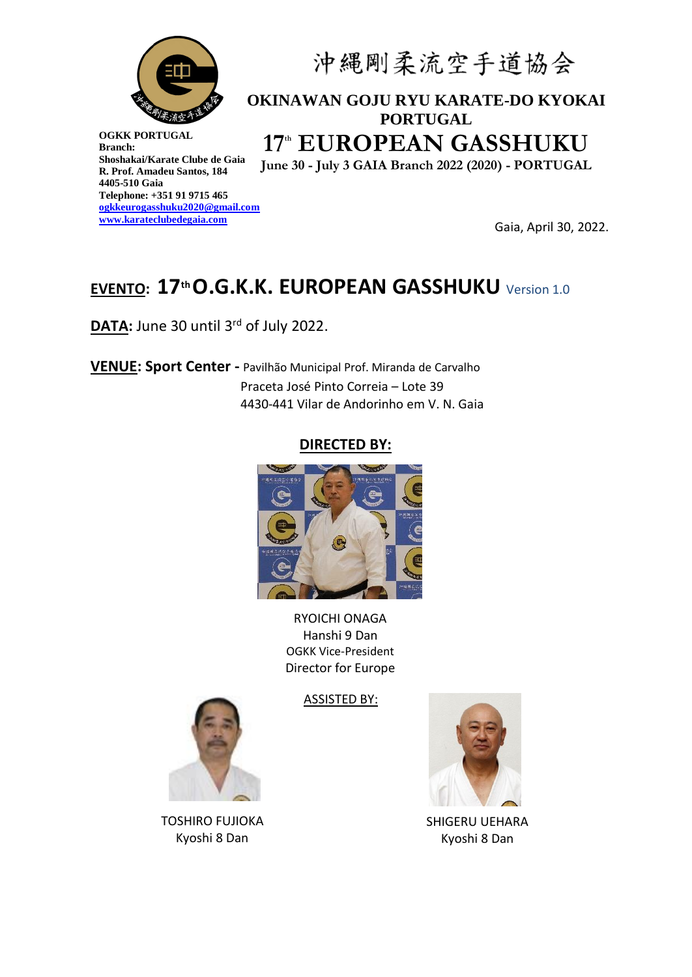

# 沖縄剛柔流空手道協会

## **OKINAWAN GOJU RYU KARATE-DO KYOKAI PORTUGAL 17th EUROPEAN GASSHUKU**

**June 30 - July 3 GAIA Branch 2022 (2020) - PORTUGAL**

**Gaia, April 30, 2022.** 

## **EVENTO: 17th O.G.K.K. EUROPEAN GASSHUKU** Version 1.0

DATA: June 30 until 3<sup>rd</sup> of July 2022.

**VENUE: Sport Center -** Pavilhão Municipal Prof. Miranda de Carvalho Praceta José Pinto Correia – Lote 39 4430-441 Vilar de Andorinho em V. N. Gaia

### **DIRECTED BY:**



RYOICHI ONAGA Hanshi 9 Dan OGKK Vice-President Director for Europe

ASSISTED BY:





SHIGERU UEHARA Kyoshi 8 Dan

TOSHIRO FUJIOKA Kyoshi 8 Dan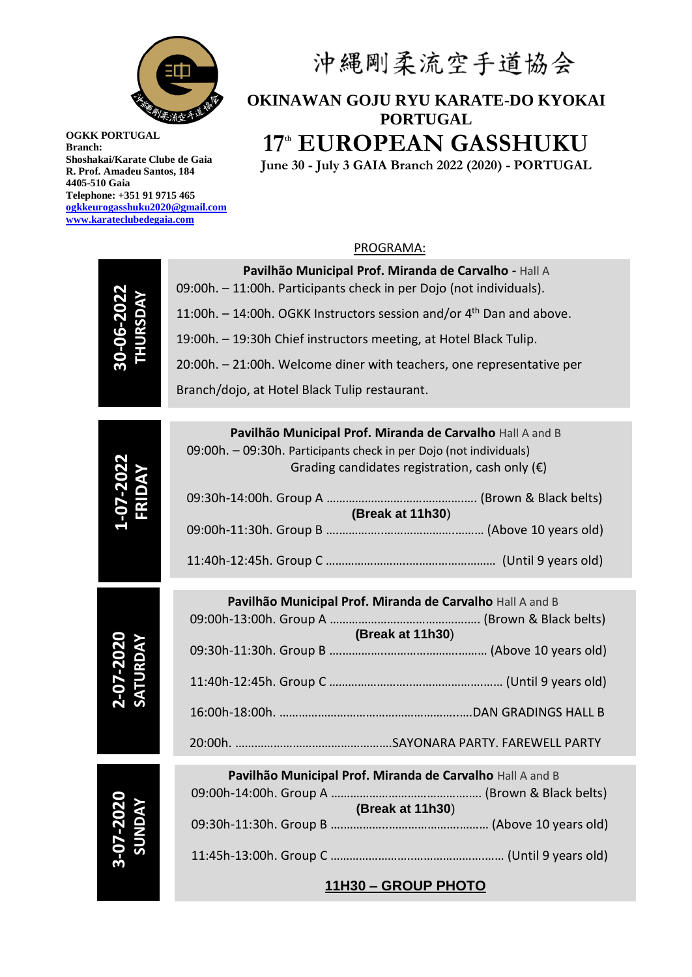

# 沖縄剛柔流空手道協会

## **OKINAWAN GOJU RYU KARATE-DO KYOKAI PORTUGAL 17th EUROPEAN GASSHUKU**

**June 30 - July 3 GAIA Branch 2022 (2020) - PORTUGAL**

#### PROGRAMA:

| HURSDAY<br>30-06-207        | Pavilhão Municipal Prof. Miranda de Carvalho - Hall A<br>09:00h. - 11:00h. Participants check in per Dojo (not individuals).  |  |  |
|-----------------------------|-------------------------------------------------------------------------------------------------------------------------------|--|--|
|                             | 11:00h. - 14:00h. OGKK Instructors session and/or 4 <sup>th</sup> Dan and above.                                              |  |  |
|                             | 19:00h. - 19:30h Chief instructors meeting, at Hotel Black Tulip.                                                             |  |  |
|                             | 20:00h. - 21:00h. Welcome diner with teachers, one representative per                                                         |  |  |
|                             | Branch/dojo, at Hotel Black Tulip restaurant.                                                                                 |  |  |
|                             | Pavilhão Municipal Prof. Miranda de Carvalho Hall A and B                                                                     |  |  |
|                             | 09:00h. - 09:30h. Participants check in per Dojo (not individuals)<br>Grading candidates registration, cash only $(\epsilon)$ |  |  |
|                             | (Break at 11h30)                                                                                                              |  |  |
|                             |                                                                                                                               |  |  |
|                             |                                                                                                                               |  |  |
|                             | Pavilhão Municipal Prof. Miranda de Carvalho Hall A and B                                                                     |  |  |
|                             |                                                                                                                               |  |  |
|                             | (Break at 11h30)                                                                                                              |  |  |
| SATURDAY                    |                                                                                                                               |  |  |
|                             |                                                                                                                               |  |  |
|                             |                                                                                                                               |  |  |
| <b>3-07-2020<br/>SUNDAY</b> | Pavilhão Municipal Prof. Miranda de Carvalho Hall A and B                                                                     |  |  |
|                             | (Break at 11h30)                                                                                                              |  |  |
|                             |                                                                                                                               |  |  |
|                             |                                                                                                                               |  |  |
|                             | 11H30 - GROUP PHOTO                                                                                                           |  |  |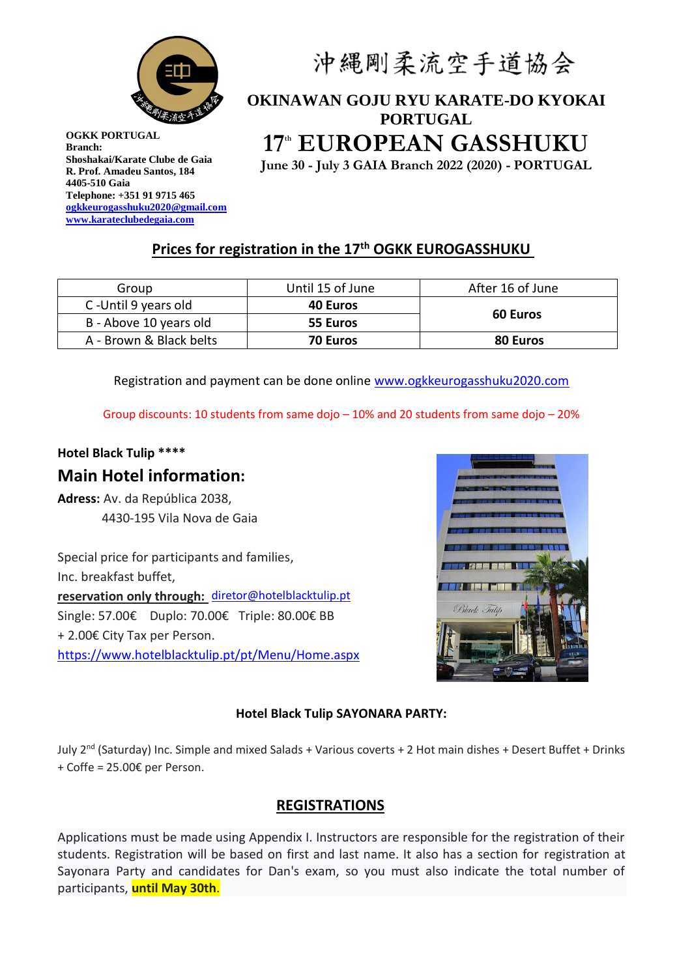

# 沖縄剛柔流空手道協会

## **OKINAWAN GOJU RYU KARATE-DO KYOKAI PORTUGAL 17th EUROPEAN GASSHUKU**

**June 30 - July 3 GAIA Branch 2022 (2020) - PORTUGAL**

## **Prices for registration in the 17th OGKK EUROGASSHUKU**

| Group                   | Until 15 of June | After 16 of June |
|-------------------------|------------------|------------------|
| C-Until 9 years old     | <b>40 Euros</b>  | <b>60 Euros</b>  |
| B - Above 10 years old  | 55 Euros         |                  |
| A - Brown & Black belts | 70 Euros         | 80 Euros         |

Registration and payment can be done online [www.ogkkeurogasshuku2020.com](http://www.ogkkeurogasshuku2020.com/)

Group discounts: 10 students from same dojo  $-10\%$  and 20 students from same dojo  $-20\%$ 

## **Hotel Black Tulip \*\*\*\* Main Hotel information:**

**Adress:** Av. da República 2038, 4430-195 Vila Nova de Gaia

Special price for participants and families, Inc. breakfast buffet, **reservation only through:** [diretor@hotelblacktulip.pt](mailto:diretor@hotelblacktulip.pt) Single: 57.00€ Duplo: 70.00€ Triple: 80.00€ BB + 2.00€ City Tax per Person. <https://www.hotelblacktulip.pt/pt/Menu/Home.aspx>



#### **Hotel Black Tulip SAYONARA PARTY:**

July 2nd (Saturday) Inc. Simple and mixed Salads + Various coverts + 2 Hot main dishes + Desert Buffet + Drinks + Coffe = 25.00€ per Person.

### **REGISTRATIONS**

Applications must be made using Appendix I. Instructors are responsible for the registration of their students. Registration will be based on first and last name. It also has a section for registration at Sayonara Party and candidates for Dan's exam, so you must also indicate the total number of participants, **until May 30th**.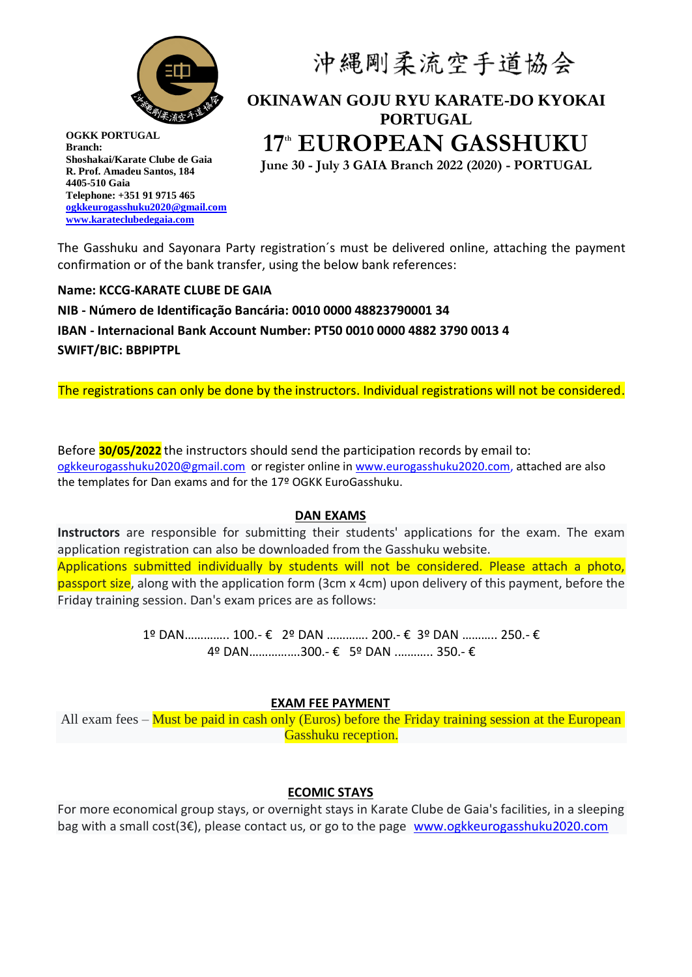

# 沖縄剛柔流空手道協会

## **OKINAWAN GOJU RYU KARATE-DO KYOKAI PORTUGAL 17th EUROPEAN GASSHUKU**

**June 30 - July 3 GAIA Branch 2022 (2020) - PORTUGAL**

The Gasshuku and Sayonara Party registration´s must be delivered online, attaching the payment confirmation or of the bank transfer, using the below bank references:

**Name: KCCG-KARATE CLUBE DE GAIA**

**NIB - Número de Identificação Bancária: 0010 0000 48823790001 34 IBAN - Internacional Bank Account Number: PT50 0010 0000 4882 3790 0013 4 SWIFT/BIC: BBPIPTPL**

The registrations can only be done by the instructors. Individual registrations will not be considered.

Before **30/05/2022** the instructors should send the participation records by email to: [ogkkeurogasshuku2020@gmail.com](mailto:ogkkeurogasshuku2020@gmail.com) or register online in [www.eurogasshuku2020.com,](http://www.eurogasshuku2020.com/) attached are also the templates for Dan exams and for the 17º OGKK EuroGasshuku.

#### **DAN EXAMS**

**Instructors** are responsible for submitting their students' applications for the exam. The exam application registration can also be downloaded from the Gasshuku website. Applications submitted individually by students will not be considered. Please attach a photo, passport size, along with the application form (3cm x 4cm) upon delivery of this payment, before the Friday training session. Dan's exam prices are as follows:

> 1º DAN………….. 100.- € 2º DAN …………. 200.- € 3º DAN ……….. 250.- € 4º DAN…………….300.- € 5º DAN .……….. 350.- €

#### **EXAM FEE PAYMENT**

All exam fees – Must be paid in cash only (Euros) before the Friday training session at the European Gasshuku reception.

#### **ECOMIC STAYS**

For more economical group stays, or overnight stays in Karate Clube de Gaia's facilities, in a sleeping bag with a small cost(3€), please contact us, or go to the page [www.ogkkeurogasshuku2020.com](http://www.ogkkeurogasshuku2020.com/)